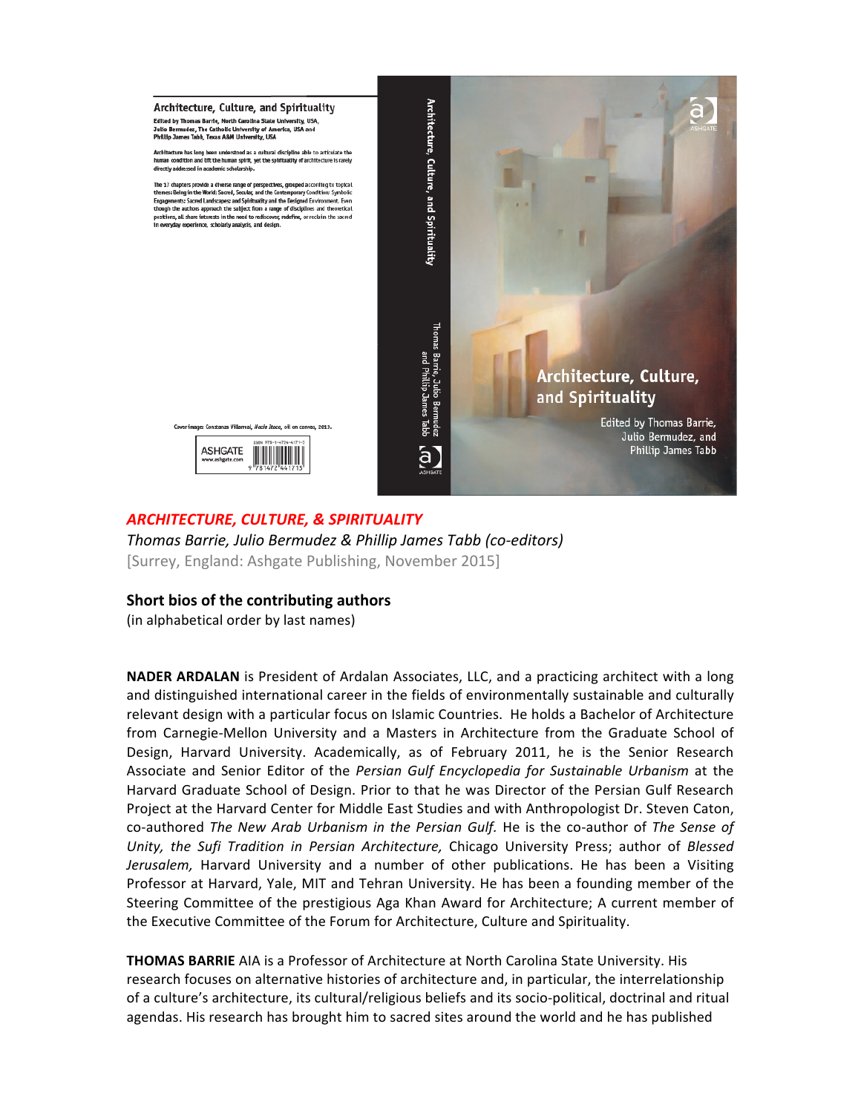

## *ARCHITECTURE,!CULTURE,!&!SPIRITUALITY*

Thomas Barrie, Julio Bermudez & Phillip James Tabb (co-editors) [Surrey, England: Ashgate Publishing, November 2015]

## **Short bios of the contributing authors**

(in alphabetical order by last names)

**NADER ARDALAN** is President of Ardalan Associates, LLC, and a practicing architect with a long and distinguished international career in the fields of environmentally sustainable and culturally relevant design with a particular focus on Islamic Countries. He holds a Bachelor of Architecture from Carnegie-Mellon University and a Masters in Architecture from the Graduate School of Design, Harvard University. Academically, as of February 2011, he is the Senior Research Associate and Senior Editor of the *Persian Gulf Encyclopedia for Sustainable Urbanism* at the Harvard Graduate School of Design. Prior to that he was Director of the Persian Gulf Research Project at the Harvard Center for Middle East Studies and with Anthropologist Dr. Steven Caton, co-authored The New Arab Urbanism in the Persian Gulf. He is the co-author of The Sense of *Unity, the Sufi Tradition in Persian Architecture, Chicago University Press; author of Blessed* Jerusalem, Harvard University and a number of other publications. He has been a Visiting Professor at Harvard, Yale, MIT and Tehran University. He has been a founding member of the Steering Committee of the prestigious Aga Khan Award for Architecture; A current member of the Executive Committee of the Forum for Architecture, Culture and Spirituality.

**THOMAS BARRIE** AIA is a Professor of Architecture at North Carolina State University. His research focuses on alternative histories of architecture and, in particular, the interrelationship of a culture's architecture, its cultural/religious beliefs and its socio-political, doctrinal and ritual agendas. His research has brought him to sacred sites around the world and he has published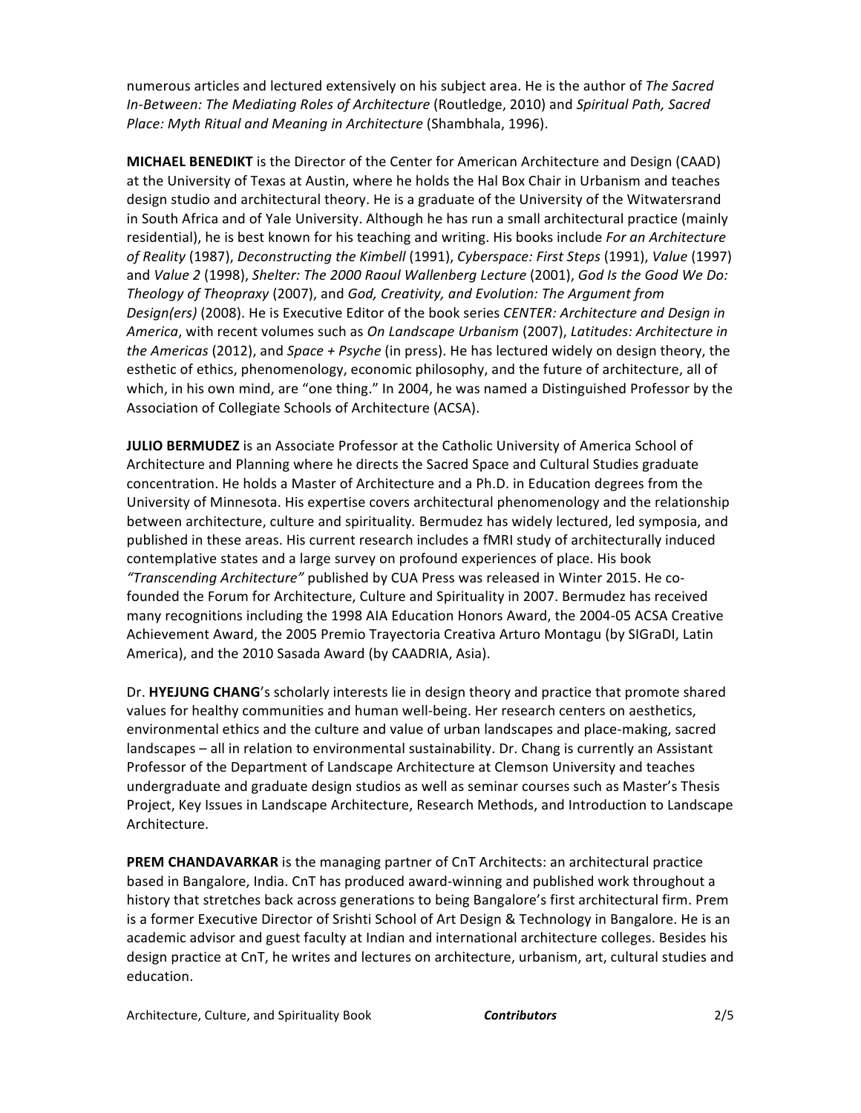numerous articles and lectured extensively on his subject area. He is the author of The Sacred In-Between: The Mediating Roles of Architecture (Routledge, 2010) and Spiritual Path, Sacred Place: Myth Ritual and Meaning in Architecture (Shambhala, 1996).

**MICHAEL BENEDIKT** is the Director of the Center for American Architecture and Design (CAAD) at the University of Texas at Austin, where he holds the Hal Box Chair in Urbanism and teaches design studio and architectural theory. He is a graduate of the University of the Witwatersrand in South Africa and of Yale University. Although he has run a small architectural practice (mainly residential), he is best known for his teaching and writing. His books include *For an Architecture of Reality* (1987), *Deconstructing the Kimbell* (1991), *Cyberspace: First Steps* (1991), *Value* (1997) and Value 2 (1998), Shelter: The 2000 Raoul Wallenberg Lecture (2001), God Is the Good We Do: *Theology of Theopraxy* (2007), and *God, Creativity, and Evolution: The Argument from Design(ers)* (2008). He is Executive Editor of the book series *CENTER: Architecture and Design in* America, with recent volumes such as *On Landscape Urbanism* (2007), *Latitudes: Architecture in the Americas* (2012), and *Space + Psyche* (in press). He has lectured widely on design theory, the esthetic of ethics, phenomenology, economic philosophy, and the future of architecture, all of which, in his own mind, are "one thing." In 2004, he was named a Distinguished Professor by the Association of Collegiate Schools of Architecture (ACSA).

**JULIO BERMUDEZ** is an Associate Professor at the Catholic University of America School of Architecture and Planning where he directs the Sacred Space and Cultural Studies graduate concentration. He holds a Master of Architecture and a Ph.D. in Education degrees from the University of Minnesota. His expertise covers architectural phenomenology and the relationship between architecture, culture and spirituality. Bermudez has widely lectured, led symposia, and published in these areas. His current research includes a fMRI study of architecturally induced contemplative states and a large survey on profound experiences of place. His book "Transcending Architecture" published by CUA Press was released in Winter 2015. He cofounded the Forum for Architecture, Culture and Spirituality in 2007. Bermudez has received many recognitions including the 1998 AIA Education Honors Award, the 2004-05 ACSA Creative Achievement Award, the 2005 Premio Trayectoria Creativa Arturo Montagu (by SIGraDI, Latin America), and the 2010 Sasada Award (by CAADRIA, Asia).

Dr. **HYEJUNG CHANG**'s scholarly interests lie in design theory and practice that promote shared values for healthy communities and human well-being. Her research centers on aesthetics, environmental ethics and the culture and value of urban landscapes and place-making, sacred landscapes - all in relation to environmental sustainability. Dr. Chang is currently an Assistant Professor of the Department of Landscape Architecture at Clemson University and teaches undergraduate and graduate design studios as well as seminar courses such as Master's Thesis Project, Key Issues in Landscape Architecture, Research Methods, and Introduction to Landscape Architecture.

**PREM CHANDAVARKAR** is the managing partner of CnT Architects: an architectural practice based in Bangalore, India. CnT has produced award-winning and published work throughout a history that stretches back across generations to being Bangalore's first architectural firm. Prem is a former Executive Director of Srishti School of Art Design & Technology in Bangalore. He is an academic advisor and guest faculty at Indian and international architecture colleges. Besides his design practice at CnT, he writes and lectures on architecture, urbanism, art, cultural studies and education.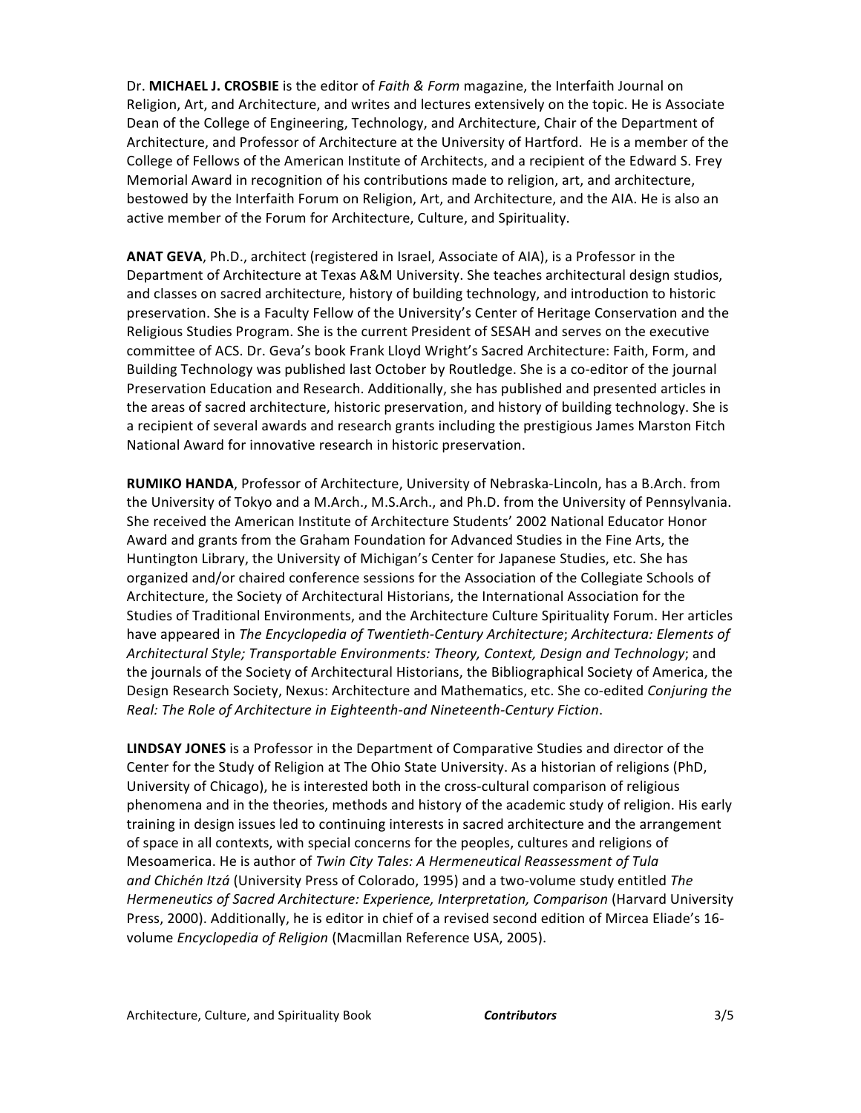Dr. MICHAEL J. CROSBIE is the editor of *Faith & Form* magazine, the Interfaith Journal on Religion, Art, and Architecture, and writes and lectures extensively on the topic. He is Associate Dean of the College of Engineering, Technology, and Architecture, Chair of the Department of Architecture, and Professor of Architecture at the University of Hartford. He is a member of the College of Fellows of the American Institute of Architects, and a recipient of the Edward S. Frey Memorial Award in recognition of his contributions made to religion, art, and architecture, bestowed by the Interfaith Forum on Religion, Art, and Architecture, and the AIA. He is also an active member of the Forum for Architecture, Culture, and Spirituality.

ANAT GEVA, Ph.D., architect (registered in Israel, Associate of AIA), is a Professor in the Department of Architecture at Texas A&M University. She teaches architectural design studios, and classes on sacred architecture, history of building technology, and introduction to historic preservation. She is a Faculty Fellow of the University's Center of Heritage Conservation and the Religious Studies Program. She is the current President of SESAH and serves on the executive committee of ACS. Dr. Geva's book Frank Lloyd Wright's Sacred Architecture: Faith, Form, and Building Technology was published last October by Routledge. She is a co-editor of the journal Preservation Education and Research. Additionally, she has published and presented articles in the areas of sacred architecture, historic preservation, and history of building technology. She is a recipient of several awards and research grants including the prestigious James Marston Fitch National Award for innovative research in historic preservation.

RUMIKO HANDA, Professor of Architecture, University of Nebraska-Lincoln, has a B.Arch. from the University of Tokyo and a M.Arch., M.S.Arch., and Ph.D. from the University of Pennsylvania. She received the American Institute of Architecture Students' 2002 National Educator Honor Award and grants from the Graham Foundation for Advanced Studies in the Fine Arts, the Huntington Library, the University of Michigan's Center for Japanese Studies, etc. She has organized and/or chaired conference sessions for the Association of the Collegiate Schools of Architecture, the Society of Architectural Historians, the International Association for the Studies of Traditional Environments, and the Architecture Culture Spirituality Forum. Her articles have appeared in *The Encyclopedia of Twentieth-Century Architecture; Architectura: Elements of Architectural'Style; Transportable'Environments:'Theory,'Context,'Design'and'Technology*;!and! the journals of the Society of Architectural Historians, the Bibliographical Society of America, the Design Research Society, Nexus: Architecture and Mathematics, etc. She co-edited *Conjuring the* Real: The Role of Architecture in Eighteenth-and Nineteenth-Century Fiction.

**LINDSAY JONES** is a Professor in the Department of Comparative Studies and director of the Center for the Study of Religion at The Ohio State University. As a historian of religions (PhD, University of Chicago), he is interested both in the cross-cultural comparison of religious phenomena and in the theories, methods and history of the academic study of religion. His early training in design issues led to continuing interests in sacred architecture and the arrangement of space in all contexts, with special concerns for the peoples, cultures and religions of Mesoamerica. He is author of *Twin City Tales: A Hermeneutical Reassessment of Tula* and *Chichén Itzá* (University Press of Colorado, 1995) and a two-volume study entitled The *Hermeneutics of Sacred Architecture: Experience, Interpretation, Comparison* (Harvard University) Press, 2000). Additionally, he is editor in chief of a revised second edition of Mircea Eliade's 16volume *Encyclopedia of Religion* (Macmillan Reference USA, 2005).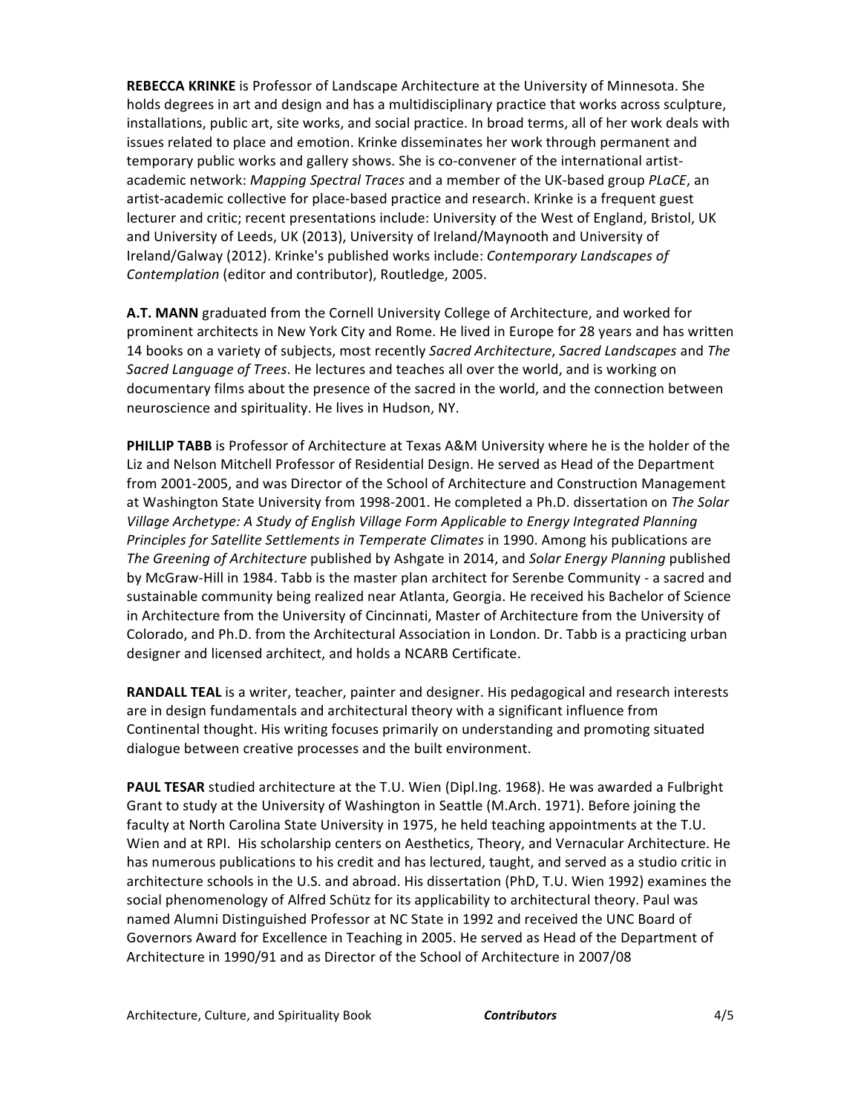REBECCA KRINKE is Professor of Landscape Architecture at the University of Minnesota. She holds degrees in art and design and has a multidisciplinary practice that works across sculpture, installations, public art, site works, and social practice. In broad terms, all of her work deals with issues related to place and emotion. Krinke disseminates her work through permanent and temporary public works and gallery shows. She is co-convener of the international artistacademic network: *Mapping Spectral Traces* and a member of the UK-based group *PLaCE*, an artist-academic collective for place-based practice and research. Krinke is a frequent guest lecturer and critic; recent presentations include: University of the West of England, Bristol, UK and University of Leeds, UK (2013), University of Ireland/Maynooth and University of Ireland/Galway (2012). Krinke's published works include: *Contemporary Landscapes of Contemplation* (editor and contributor), Routledge, 2005.

A.T. MANN graduated from the Cornell University College of Architecture, and worked for prominent architects in New York City and Rome. He lived in Europe for 28 years and has written 14 books on a variety of subjects, most recently *Sacred Architecture*, *Sacred Landscapes* and *The* Sacred Language of Trees. He lectures and teaches all over the world, and is working on documentary films about the presence of the sacred in the world, and the connection between neuroscience and spirituality. He lives in Hudson, NY.

PHILLIP TABB is Professor of Architecture at Texas A&M University where he is the holder of the Liz and Nelson Mitchell Professor of Residential Design. He served as Head of the Department from 2001-2005, and was Director of the School of Architecture and Construction Management at Washington State University from 1998-2001. He completed a Ph.D. dissertation on The Solar *Village'Archetype:'A'Study'of'English'Village'Form'Applicable'to'Energy'Integrated'Planning' Principles for Satellite Settlements in Temperate Climates* in 1990. Among his publications are *The Greening of Architecture* published by Ashgate in 2014, and *Solar Energy Planning* published by McGraw-Hill in 1984. Tabb is the master plan architect for Serenbe Community - a sacred and sustainable community being realized near Atlanta, Georgia. He received his Bachelor of Science in Architecture from the University of Cincinnati, Master of Architecture from the University of Colorado, and Ph.D. from the Architectural Association in London. Dr. Tabb is a practicing urban designer and licensed architect, and holds a NCARB Certificate.

RANDALL TEAL is a writer, teacher, painter and designer. His pedagogical and research interests are in design fundamentals and architectural theory with a significant influence from Continental thought. His writing focuses primarily on understanding and promoting situated dialogue between creative processes and the built environment.

PAUL TESAR studied architecture at the T.U. Wien (Dipl.Ing. 1968). He was awarded a Fulbright Grant to study at the University of Washington in Seattle (M.Arch. 1971). Before joining the faculty at North Carolina State University in 1975, he held teaching appointments at the T.U. Wien and at RPI. His scholarship centers on Aesthetics, Theory, and Vernacular Architecture. He has numerous publications to his credit and has lectured, taught, and served as a studio critic in architecture schools in the U.S. and abroad. His dissertation (PhD, T.U. Wien 1992) examines the social phenomenology of Alfred Schütz for its applicability to architectural theory. Paul was named Alumni Distinguished Professor at NC State in 1992 and received the UNC Board of Governors Award for Excellence in Teaching in 2005. He served as Head of the Department of Architecture in 1990/91 and as Director of the School of Architecture in 2007/08